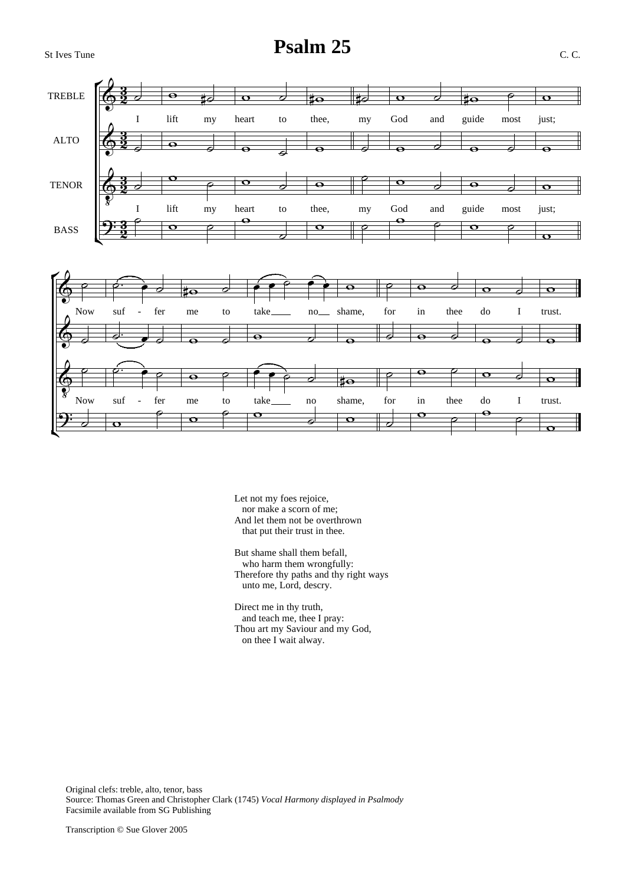## St Ives Tune **Psalm 25** C. C.





Let not my foes rejoice, nor make a scorn of me; And let them not be overthrown that put their trust in thee.

But shame shall them befall, who harm them wrongfully: Therefore thy paths and thy right ways unto me, Lord, descry.

Direct me in thy truth, and teach me, thee I pray: Thou art my Saviour and my God, on thee I wait alway.

Original clefs: treble, alto, tenor, bass Source: Thomas Green and Christopher Clark (1745) *Vocal Harmony displayed in Psalmody* Facsimile available from SG Publishing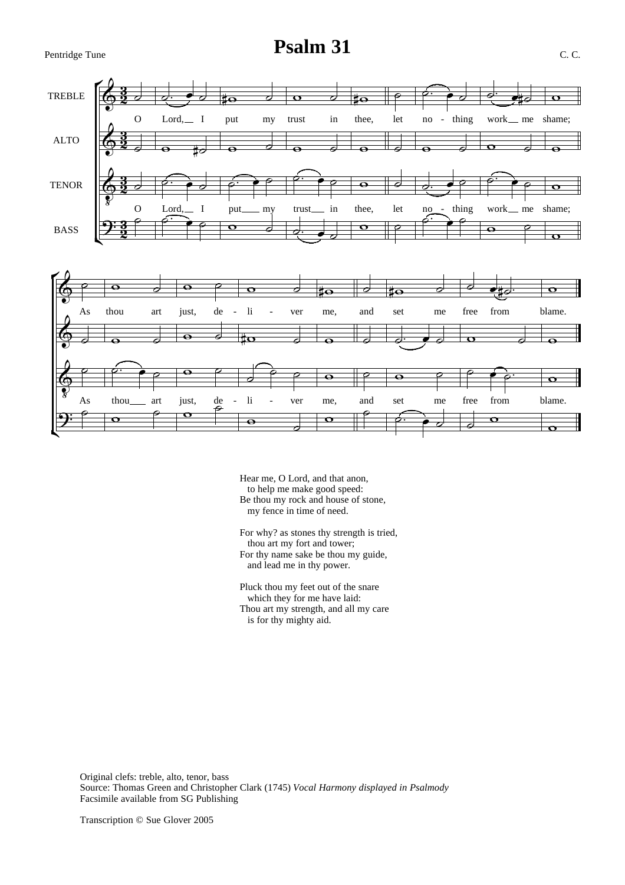# Pentridge Tune **Psalm 31** C. C.



- Hear me, O Lord, and that anon, to help me make good speed: Be thou my rock and house of stone, my fence in time of need.
- For why? as stones thy strength is tried, thou art my fort and tower; For thy name sake be thou my guide, and lead me in thy power.
- Pluck thou my feet out of the snare which they for me have laid: Thou art my strength, and all my care is for thy mighty aid.

Original clefs: treble, alto, tenor, bass Source: Thomas Green and Christopher Clark (1745) *Vocal Harmony displayed in Psalmody* Facsimile available from SG Publishing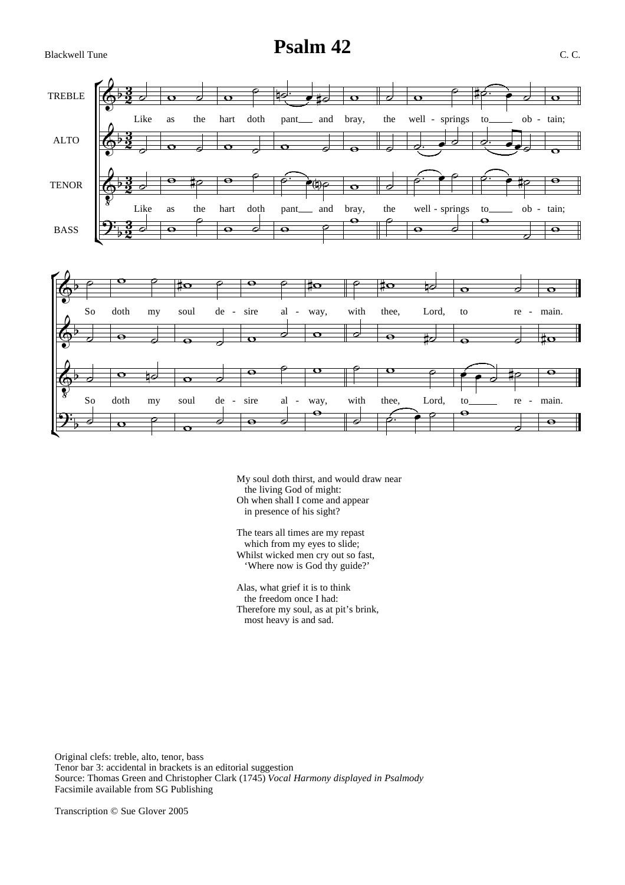### Blackwell Tune **Psalm 42** C. C.



- My soul doth thirst, and would draw near the living God of might: Oh when shall I come and appear in presence of his sight?
- The tears all times are my repast which from my eyes to slide; Whilst wicked men cry out so fast, 'Where now is God thy guide?'

Alas, what grief it is to think the freedom once I had: Therefore my soul, as at pit's brink, most heavy is and sad.

Original clefs: treble, alto, tenor, bass Tenor bar 3: accidental in brackets is an editorial suggestion Source: Thomas Green and Christopher Clark (1745) *Vocal Harmony displayed in Psalmody* Facsimile available from SG Publishing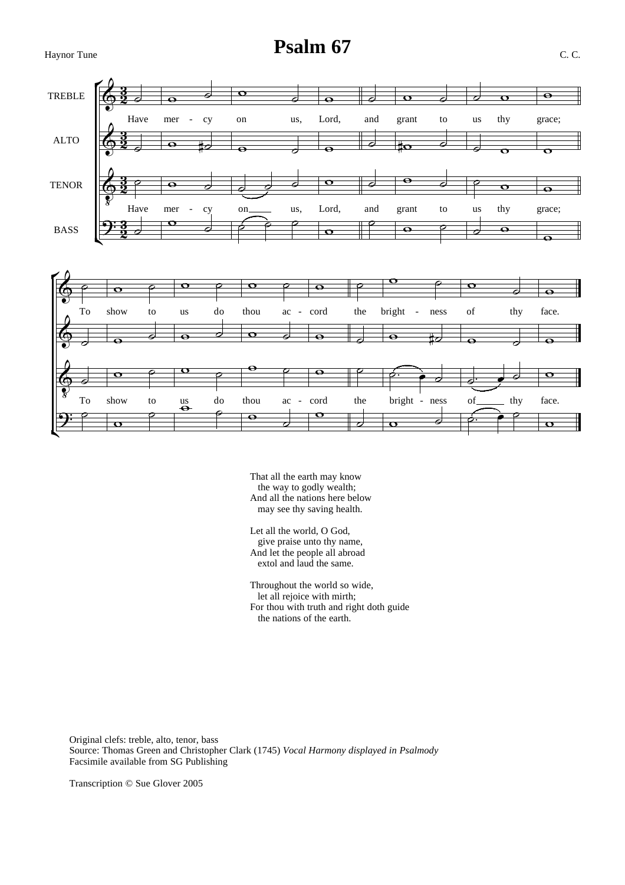Haynor Tune **Psalm 67** C. C.



That all the earth may know the way to godly wealth; And all the nations here below may see thy saving health.

Let all the world, O God, give praise unto thy name, And let the people all abroad extol and laud the same.

Throughout the world so wide, let all rejoice with mirth; For thou with truth and right doth guide the nations of the earth.

Original clefs: treble, alto, tenor, bass Source: Thomas Green and Christopher Clark (1745) *Vocal Harmony displayed in Psalmody* Facsimile available from SG Publishing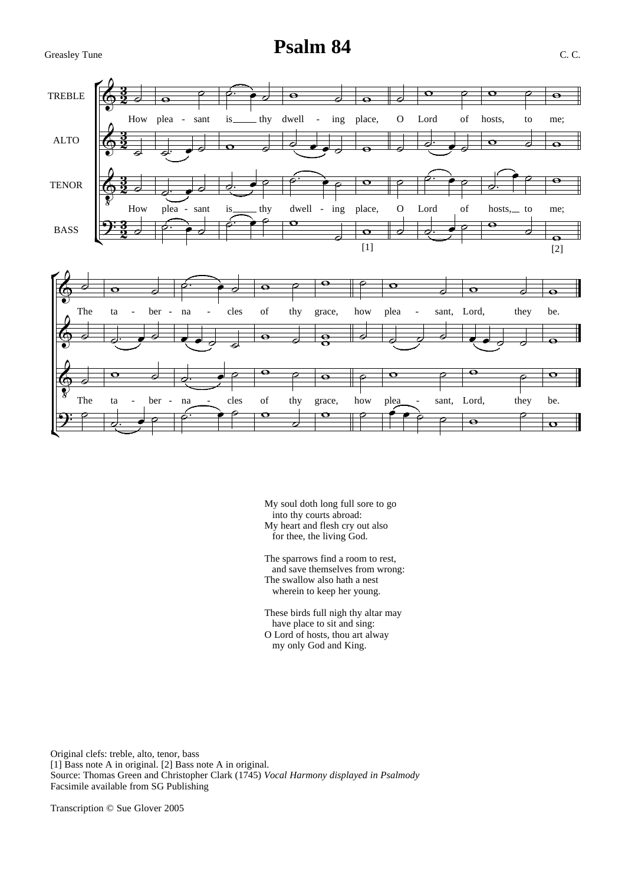## Greasley Tune **Psalm 84** C. C.



- My soul doth long full sore to go into thy courts abroad: My heart and flesh cry out also for thee, the living God.
- The sparrows find a room to rest, and save themselves from wrong: The swallow also hath a nest wherein to keep her young.

These birds full nigh thy altar may have place to sit and sing: O Lord of hosts, thou art alway my only God and King.

Original clefs: treble, alto, tenor, bass [1] Bass note A in original. [2] Bass note A in original. Source: Thomas Green and Christopher Clark (1745) *Vocal Harmony displayed in Psalmody* Facsimile available from SG Publishing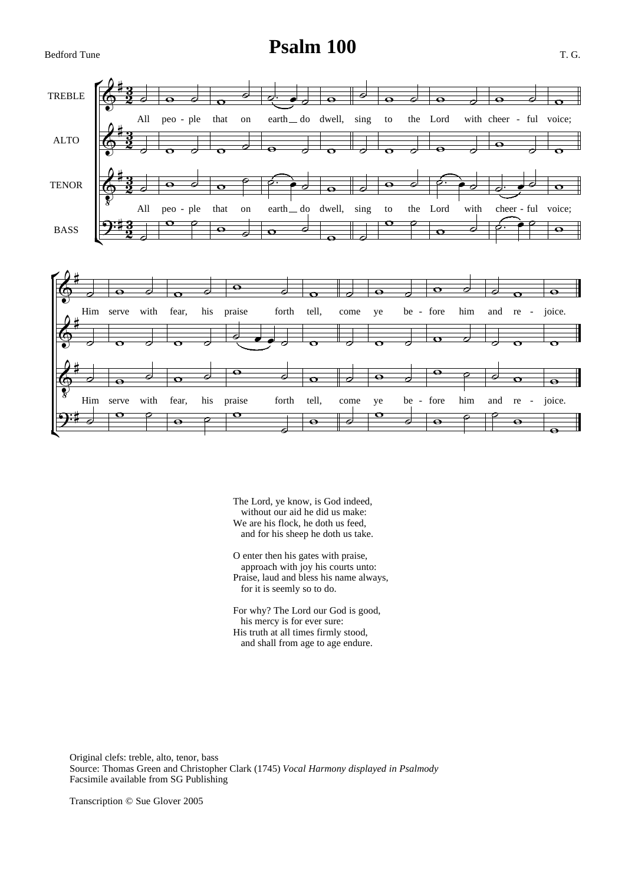## Bedford Tune **Psalm 100** T. G.



The Lord, ye know, is God indeed, without our aid he did us make: We are his flock, he doth us feed, and for his sheep he doth us take.

O enter then his gates with praise, approach with joy his courts unto: Praise, laud and bless his name always, for it is seemly so to do.

For why? The Lord our God is good, his mercy is for ever sure: His truth at all times firmly stood, and shall from age to age endure.

Original clefs: treble, alto, tenor, bass Source: Thomas Green and Christopher Clark (1745) *Vocal Harmony displayed in Psalmody* Facsimile available from SG Publishing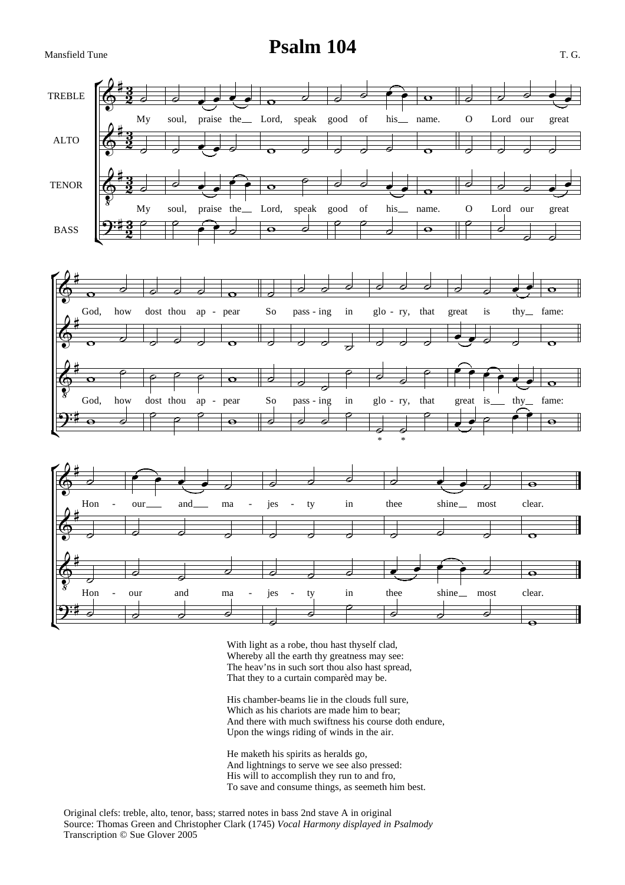### Mansfield Tune **Psalm 104** T. G.



With light as a robe, thou hast thyself clad, Whereby all the earth thy greatness may see: The heav'ns in such sort thou also hast spread, That they to a curtain comparèd may be.

His chamber-beams lie in the clouds full sure, Which as his chariots are made him to bear; And there with much swiftness his course doth endure, Upon the wings riding of winds in the air.

He maketh his spirits as heralds go, And lightnings to serve we see also pressed: His will to accomplish they run to and fro, To save and consume things, as seemeth him best.

Original clefs: treble, alto, tenor, bass; starred notes in bass 2nd stave A in original Source: Thomas Green and Christopher Clark (1745) *Vocal Harmony displayed in Psalmody* Transcription © Sue Glover 2005